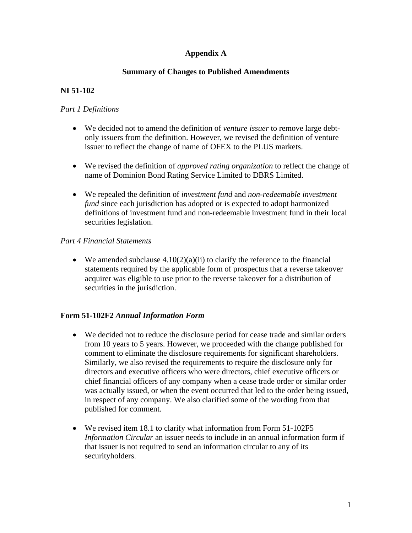## **Appendix A**

### **Summary of Changes to Published Amendments**

# **NI 51-102**

### *Part 1 Definitions*

- We decided not to amend the definition of *venture issuer* to remove large debtonly issuers from the definition. However, we revised the definition of venture issuer to reflect the change of name of OFEX to the PLUS markets.
- We revised the definition of *approved rating organization* to reflect the change of name of Dominion Bond Rating Service Limited to DBRS Limited.
- We repealed the definition of *investment fund* and *non-redeemable investment fund* since each jurisdiction has adopted or is expected to adopt harmonized definitions of investment fund and non-redeemable investment fund in their local securities legislation.

### *Part 4 Financial Statements*

• We amended subclause  $4.10(2)(a)(ii)$  to clarify the reference to the financial statements required by the applicable form of prospectus that a reverse takeover acquirer was eligible to use prior to the reverse takeover for a distribution of securities in the jurisdiction.

#### **Form 51-102F2** *Annual Information Form*

- We decided not to reduce the disclosure period for cease trade and similar orders from 10 years to 5 years. However, we proceeded with the change published for comment to eliminate the disclosure requirements for significant shareholders. Similarly, we also revised the requirements to require the disclosure only for directors and executive officers who were directors, chief executive officers or chief financial officers of any company when a cease trade order or similar order was actually issued, or when the event occurred that led to the order being issued, in respect of any company. We also clarified some of the wording from that published for comment.
- We revised item 18.1 to clarify what information from Form 51-102F5 *Information Circular* an issuer needs to include in an annual information form if that issuer is not required to send an information circular to any of its securityholders.